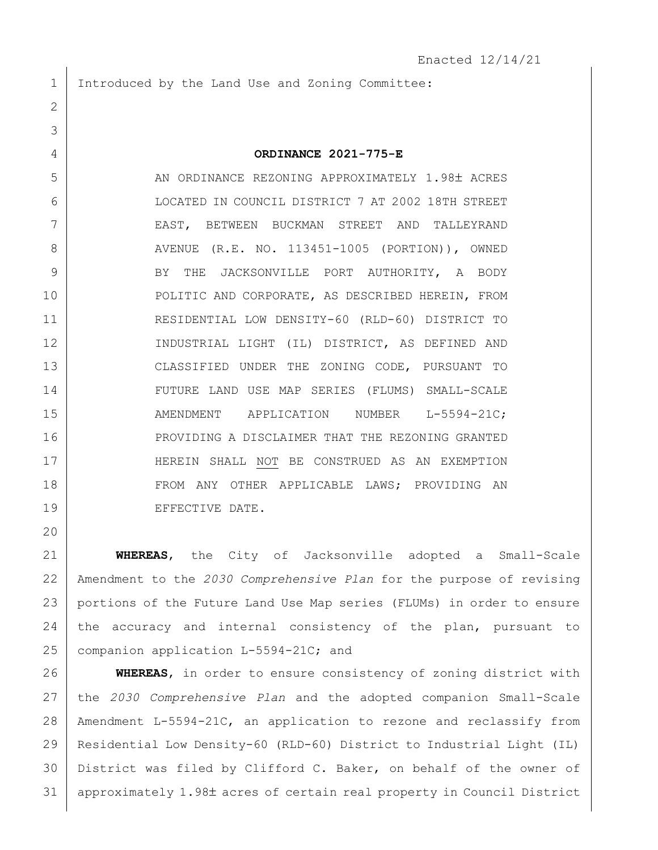1 Introduced by the Land Use and Zoning Committee:

## **ORDINANCE 2021-775-E**

5 AN ORDINANCE REZONING APPROXIMATELY 1.98± ACRES LOCATED IN COUNCIL DISTRICT 7 AT 2002 18TH STREET EAST, BETWEEN BUCKMAN STREET AND TALLEYRAND 8 | AVENUE (R.E. NO. 113451-1005 (PORTION)), OWNED 9 BY THE JACKSONVILLE PORT AUTHORITY, A BODY 10 POLITIC AND CORPORATE, AS DESCRIBED HEREIN, FROM RESIDENTIAL LOW DENSITY-60 (RLD-60) DISTRICT TO INDUSTRIAL LIGHT (IL) DISTRICT, AS DEFINED AND CLASSIFIED UNDER THE ZONING CODE, PURSUANT TO FUTURE LAND USE MAP SERIES (FLUMS) SMALL-SCALE 15 | AMENDMENT APPLICATION NUMBER L-5594-21C; 16 PROVIDING A DISCLAIMER THAT THE REZONING GRANTED HEREIN SHALL NOT BE CONSTRUED AS AN EXEMPTION 18 FROM ANY OTHER APPLICABLE LAWS; PROVIDING AN 19 EFFECTIVE DATE.

 **WHEREAS**, the City of Jacksonville adopted a Small-Scale Amendment to the *2030 Comprehensive Plan* for the purpose of revising portions of the Future Land Use Map series (FLUMs) in order to ensure the accuracy and internal consistency of the plan, pursuant to 25 companion application L-5594-21C; and

 **WHEREAS**, in order to ensure consistency of zoning district with the *2030 Comprehensive Plan* and the adopted companion Small-Scale Amendment L-5594-21C, an application to rezone and reclassify from Residential Low Density-60 (RLD-60) District to Industrial Light (IL) District was filed by Clifford C. Baker, on behalf of the owner of 31 approximately 1.98± acres of certain real property in Council District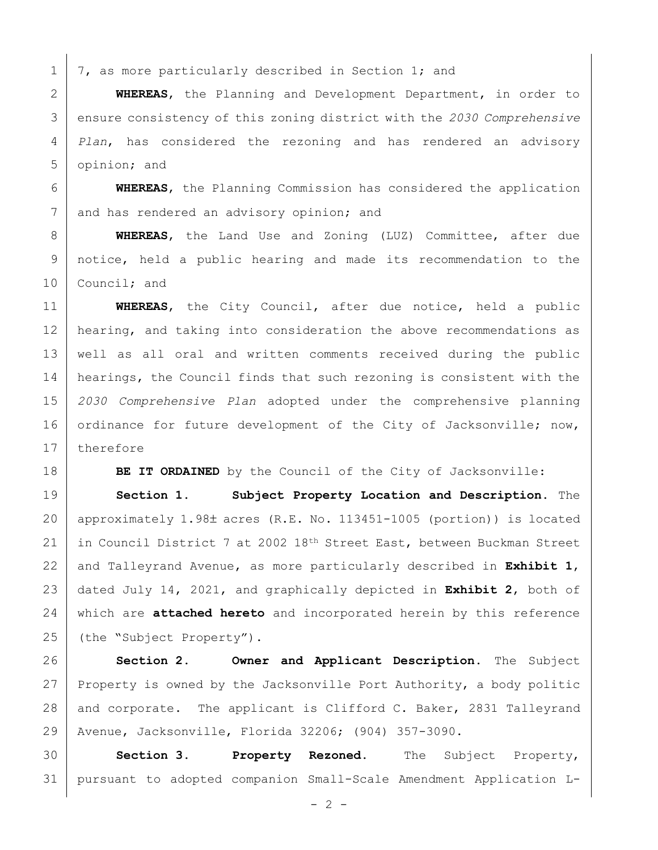$1 \mid 7$ , as more particularly described in Section 1; and

 **WHEREAS**, the Planning and Development Department, in order to ensure consistency of this zoning district with the *2030 Comprehensive Plan*, has considered the rezoning and has rendered an advisory opinion; and

6 **WHEREAS**, the Planning Commission has considered the application 7 and has rendered an advisory opinion; and

8 **WHEREAS**, the Land Use and Zoning (LUZ) Committee, after due 9 notice, held a public hearing and made its recommendation to the 10 Council; and

11 **WHEREAS**, the City Council, after due notice, held a public 12 | hearing, and taking into consideration the above recommendations as 13 well as all oral and written comments received during the public 14 | hearings, the Council finds that such rezoning is consistent with the 15 *2030 Comprehensive Plan* adopted under the comprehensive planning 16 ordinance for future development of the City of Jacksonville; now, 17 therefore

18 **BE IT ORDAINED** by the Council of the City of Jacksonville:

19 **Section 1. Subject Property Location and Description.** The 20 | approximately 1.98± acres (R.E. No. 113451-1005 (portion)) is located 21 in Council District 7 at 2002 18<sup>th</sup> Street East, between Buckman Street 22 and Talleyrand Avenue, as more particularly described in **Exhibit 1**, 23 dated July 14, 2021, and graphically depicted in **Exhibit 2**, both of 24 which are **attached hereto** and incorporated herein by this reference 25 (the "Subject Property").

26 **Section 2. Owner and Applicant Description.** The Subject 27 Property is owned by the Jacksonville Port Authority, a body politic 28 and corporate. The applicant is Clifford C. Baker, 2831 Talleyrand 29 Avenue, Jacksonville, Florida 32206; (904) 357-3090.

30 **Section 3. Property Rezoned.** The Subject Property, 31 pursuant to adopted companion Small-Scale Amendment Application L-

 $- 2 -$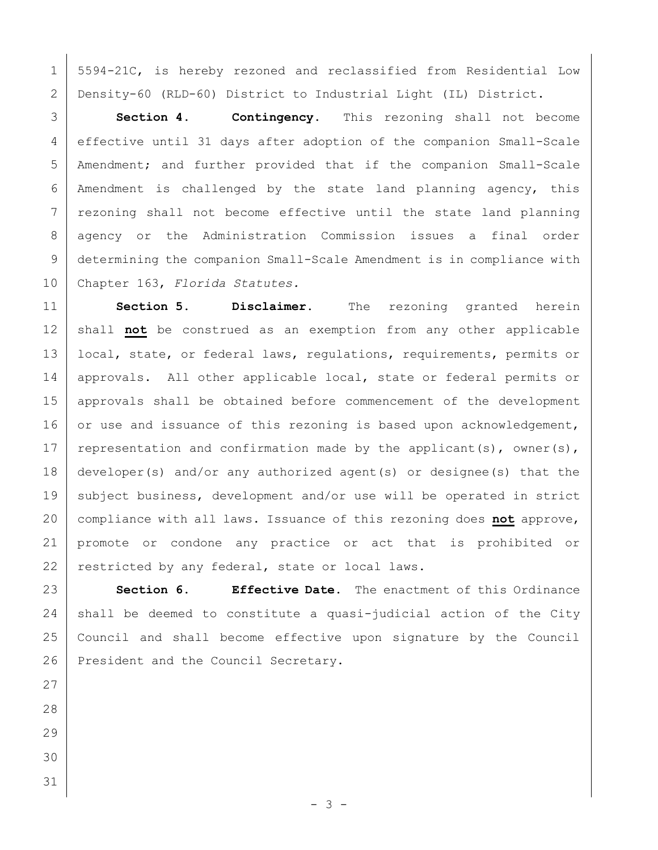5594-21C, is hereby rezoned and reclassified from Residential Low Density-60 (RLD-60) District to Industrial Light (IL) District.

 **Section 4. Contingency.** This rezoning shall not become effective until 31 days after adoption of the companion Small-Scale Amendment; and further provided that if the companion Small-Scale 6 | Amendment is challenged by the state land planning agency, this 7 rezoning shall not become effective until the state land planning 8 | agency or the Administration Commission issues a final order determining the companion Small-Scale Amendment is in compliance with Chapter 163, *Florida Statutes.*

 **Section 5. Disclaimer.** The rezoning granted herein 12 | shall not be construed as an exemption from any other applicable 13 | local, state, or federal laws, requiations, requirements, permits or 14 | approvals. All other applicable local, state or federal permits or approvals shall be obtained before commencement of the development 16 or use and issuance of this rezoning is based upon acknowledgement, 17 | representation and confirmation made by the applicant(s), owner(s), developer(s) and/or any authorized agent(s) or designee(s) that the 19 subject business, development and/or use will be operated in strict compliance with all laws. Issuance of this rezoning does **not** approve, promote or condone any practice or act that is prohibited or 22 restricted by any federal, state or local laws.

 **Section 6. Effective Date.** The enactment of this Ordinance shall be deemed to constitute a quasi-judicial action of the City Council and shall become effective upon signature by the Council 26 President and the Council Secretary.

- 
- 
- 
-